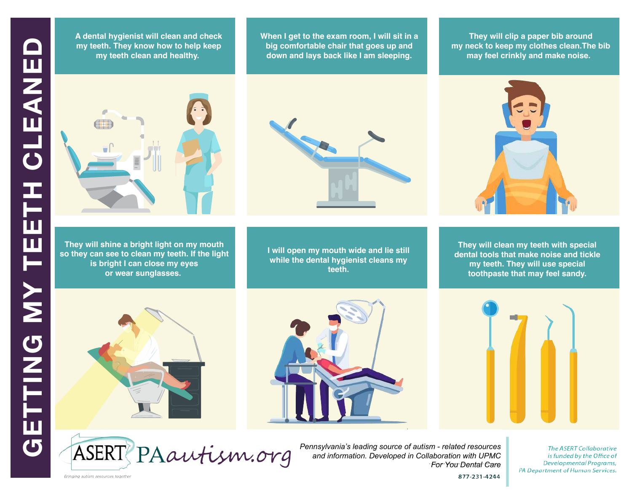**A dental hygienist will clean and check my teeth. They know how to help keep my teeth clean and healthy.** 

**When I get to the exam room, I will sit in a**<br>——————————————————— will be signal what **your what I cannot touch. down and lays back like I am sleeping. big comfortable chair that goes up and** 

**They will clip a paper bib around my neck to keep my clothes clean.The bib may feel crinkly and make noise.** 



**They will shine a bright light on my mouth so they can see to clean my teeth. If the light is bright I can close my eyes or wear sunglasses.** 



**I will open my mouth wide and lie still while the dental hygienist cleans my teeth.**



**They will clean my teeth with special dental tools that make noise and tickle my teeth. They will use special toothpaste that may feel sandy.**







ASERT PAautism.org

*Pennsylvania's leading source of autism - related resources and information. Developed in Collaboration with UPMC For You Dental Care*

**The ASERT Collaborative** is funded by the Office of Developmental Programs, PA Department of Human Services.

877-231-4244